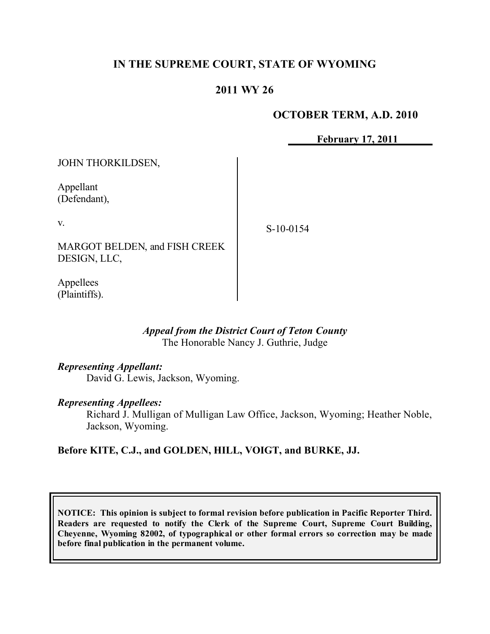# **IN THE SUPREME COURT, STATE OF WYOMING**

## **2011 WY 26**

### **OCTOBER TERM, A.D. 2010**

**February 17, 2011**

JOHN THORKILDSEN,

Appellant (Defendant),

v.

S-10-0154

MARGOT BELDEN, and FISH CREEK DESIGN, LLC,

Appellees (Plaintiffs).

#### *Appeal from the District Court of Teton County* The Honorable Nancy J. Guthrie, Judge

#### *Representing Appellant:*

David G. Lewis, Jackson, Wyoming.

#### *Representing Appellees:*

Richard J. Mulligan of Mulligan Law Office, Jackson, Wyoming; Heather Noble, Jackson, Wyoming.

## **Before KITE, C.J., and GOLDEN, HILL, VOIGT, and BURKE, JJ.**

**NOTICE: This opinion is subject to formal revision before publication in Pacific Reporter Third. Readers are requested to notify the Clerk of the Supreme Court, Supreme Court Building, Cheyenne, Wyoming 82002, of typographical or other formal errors so correction may be made before final publication in the permanent volume.**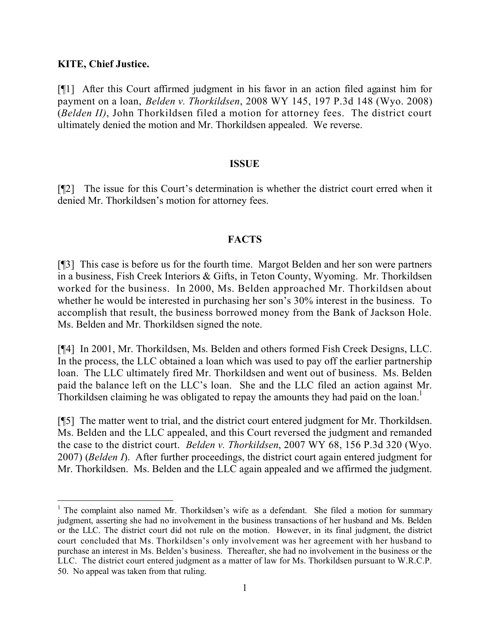### **KITE, Chief Justice.**

 $\overline{a}$ 

[¶1] After this Court affirmed judgment in his favor in an action filed against him for payment on a loan, *Belden v. Thorkildsen*, 2008 WY 145, 197 P.3d 148 (Wyo. 2008) (*Belden II)*, John Thorkildsen filed a motion for attorney fees. The district court ultimately denied the motion and Mr. Thorkildsen appealed. We reverse.

### **ISSUE**

[¶2] The issue for this Court's determination is whether the district court erred when it denied Mr. Thorkildsen's motion for attorney fees.

## **FACTS**

[¶3] This case is before us for the fourth time. Margot Belden and her son were partners in a business, Fish Creek Interiors & Gifts, in Teton County, Wyoming. Mr. Thorkildsen worked for the business. In 2000, Ms. Belden approached Mr. Thorkildsen about whether he would be interested in purchasing her son's 30% interest in the business. To accomplish that result, the business borrowed money from the Bank of Jackson Hole. Ms. Belden and Mr. Thorkildsen signed the note.

[¶4] In 2001, Mr. Thorkildsen, Ms. Belden and others formed Fish Creek Designs, LLC. In the process, the LLC obtained a loan which was used to pay off the earlier partnership loan. The LLC ultimately fired Mr. Thorkildsen and went out of business. Ms. Belden paid the balance left on the LLC's loan. She and the LLC filed an action against Mr. Thorkildsen claiming he was obligated to repay the amounts they had paid on the loan.<sup>1</sup>

[¶5] The matter went to trial, and the district court entered judgment for Mr. Thorkildsen. Ms. Belden and the LLC appealed, and this Court reversed the judgment and remanded the case to the district court. *Belden v. Thorkildsen*, 2007 WY 68, 156 P.3d 320 (Wyo. 2007) (*Belden I*). After further proceedings, the district court again entered judgment for Mr. Thorkildsen. Ms. Belden and the LLC again appealed and we affirmed the judgment.

<sup>&</sup>lt;sup>1</sup> The complaint also named Mr. Thorkildsen's wife as a defendant. She filed a motion for summary judgment, asserting she had no involvement in the business transactions of her husband and Ms. Belden or the LLC. The district court did not rule on the motion. However, in its final judgment, the district court concluded that Ms. Thorkildsen's only involvement was her agreement with her husband to purchase an interest in Ms. Belden's business. Thereafter, she had no involvement in the business or the LLC. The district court entered judgment as a matter of law for Ms. Thorkildsen pursuant to W.R.C.P. 50. No appeal was taken from that ruling.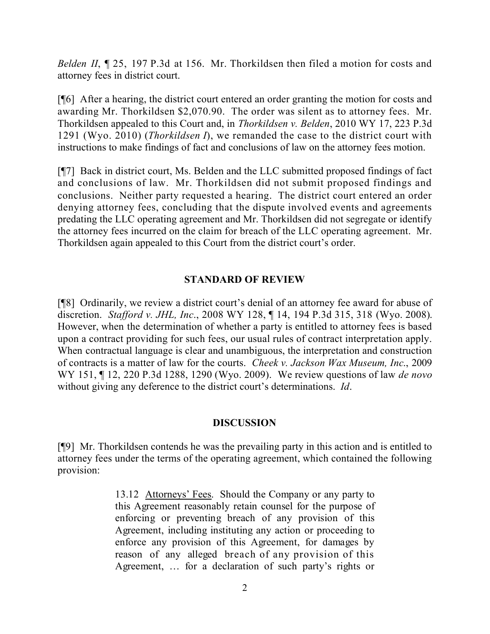*Belden II*, 125, 197 P.3d at 156. Mr. Thorkildsen then filed a motion for costs and attorney fees in district court.

[¶6] After a hearing, the district court entered an order granting the motion for costs and awarding Mr. Thorkildsen \$2,070.90. The order was silent as to attorney fees. Mr. Thorkildsen appealed to this Court and, in *Thorkildsen v. Belden*, 2010 WY 17, 223 P.3d 1291 (Wyo. 2010) (*Thorkildsen I*), we remanded the case to the district court with instructions to make findings of fact and conclusions of law on the attorney fees motion.

[¶7] Back in district court, Ms. Belden and the LLC submitted proposed findings of fact and conclusions of law. Mr. Thorkildsen did not submit proposed findings and conclusions. Neither party requested a hearing. The district court entered an order denying attorney fees, concluding that the dispute involved events and agreements predating the LLC operating agreement and Mr. Thorkildsen did not segregate or identify the attorney fees incurred on the claim for breach of the LLC operating agreement. Mr. Thorkildsen again appealed to this Court from the district court's order.

## **STANDARD OF REVIEW**

[¶8] Ordinarily, we review a district court's denial of an attorney fee award for abuse of discretion. *Stafford v. JHL, Inc*., 2008 WY 128, ¶ 14, 194 P.3d 315, 318 (Wyo. 2008). However, when the determination of whether a party is entitled to attorney fees is based upon a contract providing for such fees, our usual rules of contract interpretation apply. When contractual language is clear and unambiguous, the interpretation and construction of contracts is a matter of law for the courts. *Cheek v. Jackson Wax Museum, Inc*., 2009 WY 151, ¶ 12, 220 P.3d 1288, 1290 (Wyo. 2009). We review questions of law *de novo* without giving any deference to the district court's determinations. *Id*.

### **DISCUSSION**

[¶9] Mr. Thorkildsen contends he was the prevailing party in this action and is entitled to attorney fees under the terms of the operating agreement, which contained the following provision:

> 13.12 Attorneys' Fees. Should the Company or any party to this Agreement reasonably retain counsel for the purpose of enforcing or preventing breach of any provision of this Agreement, including instituting any action or proceeding to enforce any provision of this Agreement, for damages by reason of any alleged breach of any provision of this Agreement, … for a declaration of such party's rights or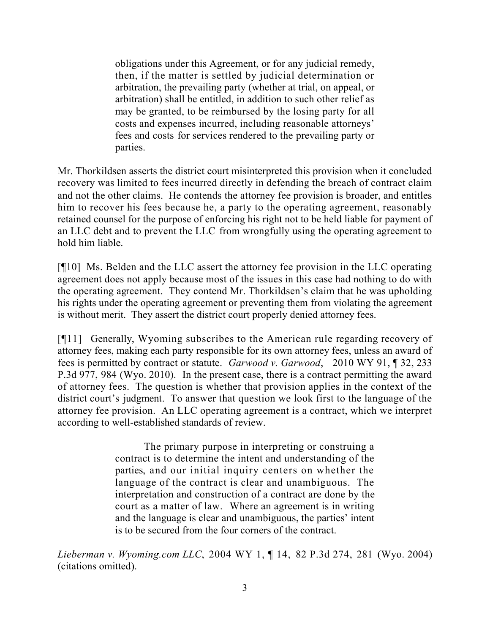obligations under this Agreement, or for any judicial remedy, then, if the matter is settled by judicial determination or arbitration, the prevailing party (whether at trial, on appeal, or arbitration) shall be entitled, in addition to such other relief as may be granted, to be reimbursed by the losing party for all costs and expenses incurred, including reasonable attorneys' fees and costs for services rendered to the prevailing party or parties.

Mr. Thorkildsen asserts the district court misinterpreted this provision when it concluded recovery was limited to fees incurred directly in defending the breach of contract claim and not the other claims. He contends the attorney fee provision is broader, and entitles him to recover his fees because he, a party to the operating agreement, reasonably retained counsel for the purpose of enforcing his right not to be held liable for payment of an LLC debt and to prevent the LLC from wrongfully using the operating agreement to hold him liable.

[¶10] Ms. Belden and the LLC assert the attorney fee provision in the LLC operating agreement does not apply because most of the issues in this case had nothing to do with the operating agreement. They contend Mr. Thorkildsen's claim that he was upholding his rights under the operating agreement or preventing them from violating the agreement is without merit. They assert the district court properly denied attorney fees.

[¶11] Generally, Wyoming subscribes to the American rule regarding recovery of attorney fees, making each party responsible for its own attorney fees, unless an award of fees is permitted by contract or statute. *Garwood v. Garwood*, 2010 WY 91, ¶ 32, 233 P.3d 977, 984 (Wyo. 2010). In the present case, there is a contract permitting the award of attorney fees. The question is whether that provision applies in the context of the district court's judgment. To answer that question we look first to the language of the attorney fee provision. An LLC operating agreement is a contract, which we interpret according to well-established standards of review.

> The primary purpose in interpreting or construing a contract is to determine the intent and understanding of the parties, and our initial inquiry centers on whether the language of the contract is clear and unambiguous. The interpretation and construction of a contract are done by the court as a matter of law. Where an agreement is in writing and the language is clear and unambiguous, the parties' intent is to be secured from the four corners of the contract.

*Lieberman v. Wyoming.com LLC*, 2004 WY 1, ¶ 14, 82 P.3d 274, 281 (Wyo. 2004) (citations omitted).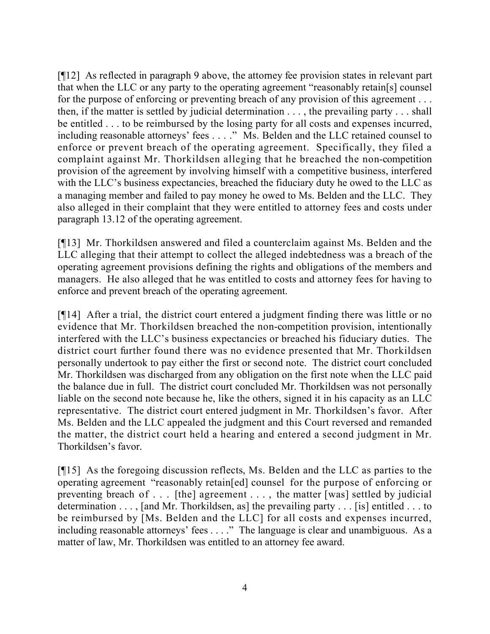[¶12] As reflected in paragraph 9 above, the attorney fee provision states in relevant part that when the LLC or any party to the operating agreement "reasonably retain[s] counsel for the purpose of enforcing or preventing breach of any provision of this agreement . . . then, if the matter is settled by judicial determination . . . , the prevailing party . . . shall be entitled . . . to be reimbursed by the losing party for all costs and expenses incurred, including reasonable attorneys' fees . . . ." Ms. Belden and the LLC retained counsel to enforce or prevent breach of the operating agreement. Specifically, they filed a complaint against Mr. Thorkildsen alleging that he breached the non-competition provision of the agreement by involving himself with a competitive business, interfered with the LLC's business expectancies, breached the fiduciary duty he owed to the LLC as a managing member and failed to pay money he owed to Ms. Belden and the LLC. They also alleged in their complaint that they were entitled to attorney fees and costs under paragraph 13.12 of the operating agreement.

[¶13] Mr. Thorkildsen answered and filed a counterclaim against Ms. Belden and the LLC alleging that their attempt to collect the alleged indebtedness was a breach of the operating agreement provisions defining the rights and obligations of the members and managers. He also alleged that he was entitled to costs and attorney fees for having to enforce and prevent breach of the operating agreement.

[¶14] After a trial, the district court entered a judgment finding there was little or no evidence that Mr. Thorkildsen breached the non-competition provision, intentionally interfered with the LLC's business expectancies or breached his fiduciary duties. The district court further found there was no evidence presented that Mr. Thorkildsen personally undertook to pay either the first or second note. The district court concluded Mr. Thorkildsen was discharged from any obligation on the first note when the LLC paid the balance due in full. The district court concluded Mr. Thorkildsen was not personally liable on the second note because he, like the others, signed it in his capacity as an LLC representative. The district court entered judgment in Mr. Thorkildsen's favor. After Ms. Belden and the LLC appealed the judgment and this Court reversed and remanded the matter, the district court held a hearing and entered a second judgment in Mr. Thorkildsen's favor.

[¶15] As the foregoing discussion reflects, Ms. Belden and the LLC as parties to the operating agreement "reasonably retain[ed] counsel for the purpose of enforcing or preventing breach of . . . [the] agreement . . . , the matter [was] settled by judicial determination . . . , [and Mr. Thorkildsen, as] the prevailing party . . . [is] entitled . . . to be reimbursed by [Ms. Belden and the LLC] for all costs and expenses incurred, including reasonable attorneys' fees . . . ." The language is clear and unambiguous. As a matter of law, Mr. Thorkildsen was entitled to an attorney fee award.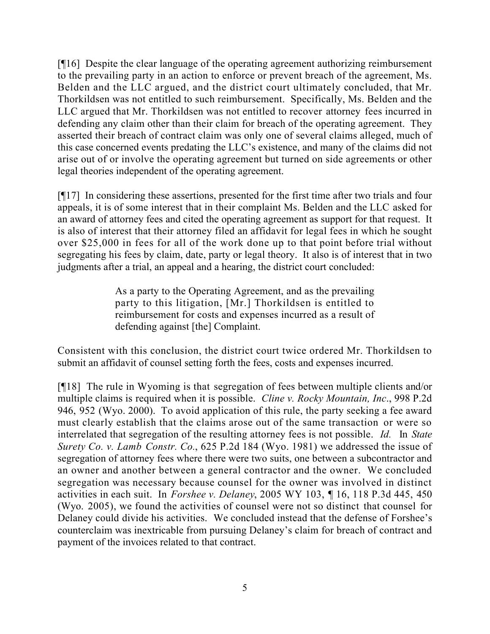[¶16] Despite the clear language of the operating agreement authorizing reimbursement to the prevailing party in an action to enforce or prevent breach of the agreement, Ms. Belden and the LLC argued, and the district court ultimately concluded, that Mr. Thorkildsen was not entitled to such reimbursement. Specifically, Ms. Belden and the LLC argued that Mr. Thorkildsen was not entitled to recover attorney fees incurred in defending any claim other than their claim for breach of the operating agreement. They asserted their breach of contract claim was only one of several claims alleged, much of this case concerned events predating the LLC's existence, and many of the claims did not arise out of or involve the operating agreement but turned on side agreements or other legal theories independent of the operating agreement.

[¶17] In considering these assertions, presented for the first time after two trials and four appeals, it is of some interest that in their complaint Ms. Belden and the LLC asked for an award of attorney fees and cited the operating agreement as support for that request. It is also of interest that their attorney filed an affidavit for legal fees in which he sought over \$25,000 in fees for all of the work done up to that point before trial without segregating his fees by claim, date, party or legal theory. It also is of interest that in two judgments after a trial, an appeal and a hearing, the district court concluded:

> As a party to the Operating Agreement, and as the prevailing party to this litigation, [Mr.] Thorkildsen is entitled to reimbursement for costs and expenses incurred as a result of defending against [the] Complaint.

Consistent with this conclusion, the district court twice ordered Mr. Thorkildsen to submit an affidavit of counsel setting forth the fees, costs and expenses incurred.

[¶18] The rule in Wyoming is that segregation of fees between multiple clients and/or multiple claims is required when it is possible. *Cline v. Rocky Mountain, Inc*., 998 P.2d 946, 952 (Wyo. 2000). To avoid application of this rule, the party seeking a fee award must clearly establish that the claims arose out of the same transaction or were so interrelated that segregation of the resulting attorney fees is not possible. *Id.* In *State Surety Co. v. Lamb Constr. Co.*, 625 P.2d 184 (Wyo. 1981) we addressed the issue of segregation of attorney fees where there were two suits, one between a subcontractor and an owner and another between a general contractor and the owner. We concluded segregation was necessary because counsel for the owner was involved in distinct activities in each suit. In *Forshee v. Delaney*, 2005 WY 103, ¶ 16, 118 P.3d 445, 450 (Wyo. 2005), we found the activities of counsel were not so distinct that counsel for Delaney could divide his activities. We concluded instead that the defense of Forshee's counterclaim was inextricable from pursuing Delaney's claim for breach of contract and payment of the invoices related to that contract.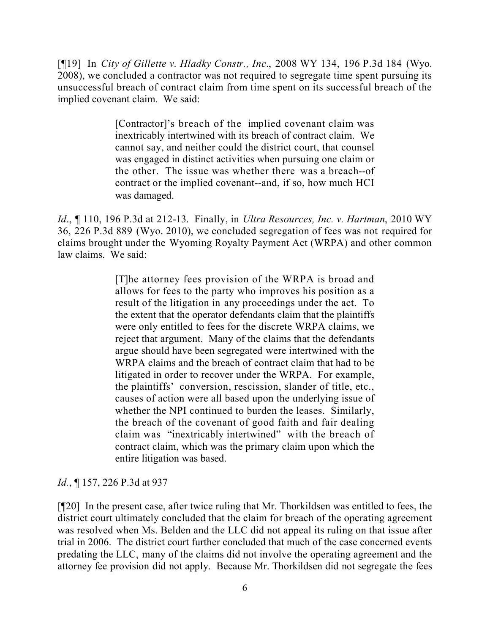[¶19] In *City of Gillette v. Hladky Constr., Inc*., 2008 WY 134, 196 P.3d 184 (Wyo. 2008), we concluded a contractor was not required to segregate time spent pursuing its unsuccessful breach of contract claim from time spent on its successful breach of the implied covenant claim. We said:

> [Contractor]'s breach of the implied covenant claim was inextricably intertwined with its breach of contract claim. We cannot say, and neither could the district court, that counsel was engaged in distinct activities when pursuing one claim or the other. The issue was whether there was a breach--of contract or the implied covenant--and, if so, how much HCI was damaged.

*Id*., ¶ 110, 196 P.3d at 212-13. Finally, in *Ultra Resources, Inc. v. Hartman*, 2010 WY 36, 226 P.3d 889 (Wyo. 2010), we concluded segregation of fees was not required for claims brought under the Wyoming Royalty Payment Act (WRPA) and other common law claims. We said:

> [T]he attorney fees provision of the WRPA is broad and allows for fees to the party who improves his position as a result of the litigation in any proceedings under the act. To the extent that the operator defendants claim that the plaintiffs were only entitled to fees for the discrete WRPA claims, we reject that argument. Many of the claims that the defendants argue should have been segregated were intertwined with the WRPA claims and the breach of contract claim that had to be litigated in order to recover under the WRPA. For example, the plaintiffs' conversion, rescission, slander of title, etc., causes of action were all based upon the underlying issue of whether the NPI continued to burden the leases. Similarly, the breach of the covenant of good faith and fair dealing claim was "inextricably intertwined" with the breach of contract claim, which was the primary claim upon which the entire litigation was based.

# *Id.*, **[157, 226 P.3d at 937**

[¶20] In the present case, after twice ruling that Mr. Thorkildsen was entitled to fees, the district court ultimately concluded that the claim for breach of the operating agreement was resolved when Ms. Belden and the LLC did not appeal its ruling on that issue after trial in 2006. The district court further concluded that much of the case concerned events predating the LLC, many of the claims did not involve the operating agreement and the attorney fee provision did not apply. Because Mr. Thorkildsen did not segregate the fees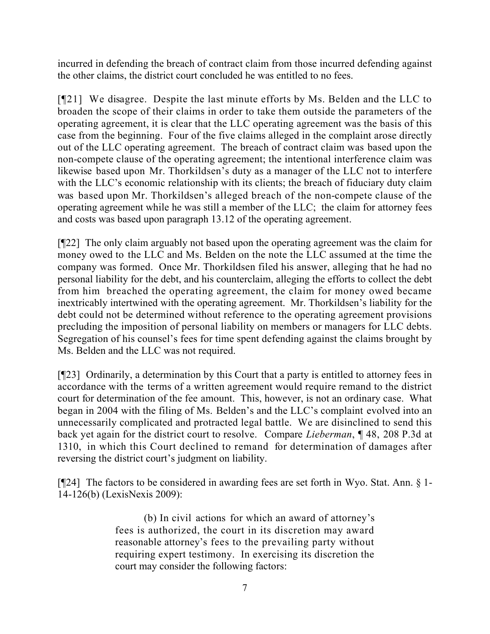incurred in defending the breach of contract claim from those incurred defending against the other claims, the district court concluded he was entitled to no fees.

[¶21] We disagree. Despite the last minute efforts by Ms. Belden and the LLC to broaden the scope of their claims in order to take them outside the parameters of the operating agreement, it is clear that the LLC operating agreement was the basis of this case from the beginning. Four of the five claims alleged in the complaint arose directly out of the LLC operating agreement. The breach of contract claim was based upon the non-compete clause of the operating agreement; the intentional interference claim was likewise based upon Mr. Thorkildsen's duty as a manager of the LLC not to interfere with the LLC's economic relationship with its clients; the breach of fiduciary duty claim was based upon Mr. Thorkildsen's alleged breach of the non-compete clause of the operating agreement while he was still a member of the LLC; the claim for attorney fees and costs was based upon paragraph 13.12 of the operating agreement.

[¶22] The only claim arguably not based upon the operating agreement was the claim for money owed to the LLC and Ms. Belden on the note the LLC assumed at the time the company was formed. Once Mr. Thorkildsen filed his answer, alleging that he had no personal liability for the debt, and his counterclaim, alleging the efforts to collect the debt from him breached the operating agreement, the claim for money owed became inextricably intertwined with the operating agreement. Mr. Thorkildsen's liability for the debt could not be determined without reference to the operating agreement provisions precluding the imposition of personal liability on members or managers for LLC debts. Segregation of his counsel's fees for time spent defending against the claims brought by Ms. Belden and the LLC was not required.

[¶23] Ordinarily, a determination by this Court that a party is entitled to attorney fees in accordance with the terms of a written agreement would require remand to the district court for determination of the fee amount. This, however, is not an ordinary case. What began in 2004 with the filing of Ms. Belden's and the LLC's complaint evolved into an unnecessarily complicated and protracted legal battle. We are disinclined to send this back yet again for the district court to resolve. Compare *Lieberman*, ¶ 48, 208 P.3d at 1310, in which this Court declined to remand for determination of damages after reversing the district court's judgment on liability.

[¶24] The factors to be considered in awarding fees are set forth in Wyo. Stat. Ann. § 1- 14-126(b) (LexisNexis 2009):

> (b) In civil actions for which an award of attorney's fees is authorized, the court in its discretion may award reasonable attorney's fees to the prevailing party without requiring expert testimony. In exercising its discretion the court may consider the following factors: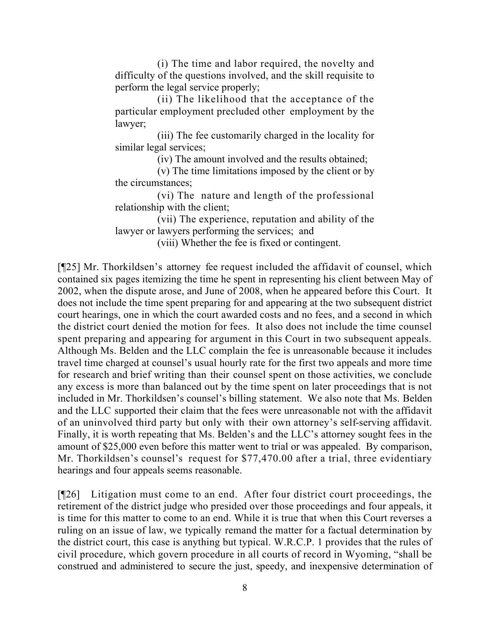(i) The time and labor required, the novelty and difficulty of the questions involved, and the skill requisite to perform the legal service properly;

 (ii) The likelihood that the acceptance of the particular employment precluded other employment by the lawyer;

 (iii) The fee customarily charged in the locality for similar legal services;

(iv) The amount involved and the results obtained;

 (v) The time limitations imposed by the client or by the circumstances;

 (vi) The nature and length of the professional relationship with the client;

 (vii) The experience, reputation and ability of the lawyer or lawyers performing the services; and

(viii) Whether the fee is fixed or contingent.

[¶25] Mr. Thorkildsen's attorney fee request included the affidavit of counsel, which contained six pages itemizing the time he spent in representing his client between May of 2002, when the dispute arose, and June of 2008, when he appeared before this Court. It does not include the time spent preparing for and appearing at the two subsequent district court hearings, one in which the court awarded costs and no fees, and a second in which the district court denied the motion for fees. It also does not include the time counsel spent preparing and appearing for argument in this Court in two subsequent appeals. Although Ms. Belden and the LLC complain the fee is unreasonable because it includes travel time charged at counsel's usual hourly rate for the first two appeals and more time for research and brief writing than their counsel spent on those activities, we conclude any excess is more than balanced out by the time spent on later proceedings that is not included in Mr. Thorkildsen's counsel's billing statement. We also note that Ms. Belden and the LLC supported their claim that the fees were unreasonable not with the affidavit of an uninvolved third party but only with their own attorney's self-serving affidavit. Finally, it is worth repeating that Ms. Belden's and the LLC's attorney sought fees in the amount of \$25,000 even before this matter went to trial or was appealed. By comparison, Mr. Thorkildsen's counsel's request for \$77,470.00 after a trial, three evidentiary hearings and four appeals seems reasonable.

[¶26] Litigation must come to an end. After four district court proceedings, the retirement of the district judge who presided over those proceedings and four appeals, it is time for this matter to come to an end. While it is true that when this Court reverses a ruling on an issue of law, we typically remand the matter for a factual determination by the district court, this case is anything but typical. W.R.C.P. 1 provides that the rules of civil procedure, which govern procedure in all courts of record in Wyoming, "shall be construed and administered to secure the just, speedy, and inexpensive determination of